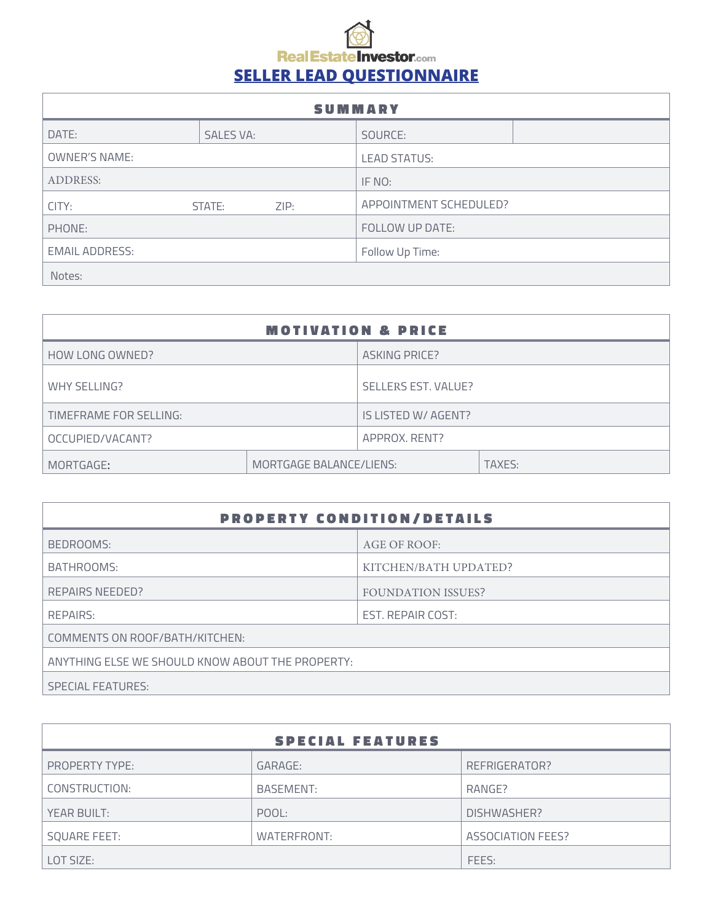## **Real Estate Investor.com SELLER LEAD QUESTIONNAIRE**

| <b>SUMMARY</b>        |                  |      |                        |  |
|-----------------------|------------------|------|------------------------|--|
| DATE:                 | <b>SALES VA:</b> |      | SOURCE:                |  |
| <b>OWNER'S NAME:</b>  |                  |      | <b>LEAD STATUS:</b>    |  |
| <b>ADDRESS:</b>       |                  |      | IF NO:                 |  |
| CITY:                 | STATE:           | ZIP: | APPOINTMENT SCHEDULED? |  |
| PHONE:                |                  |      | FOLLOW UP DATE:        |  |
| <b>EMAIL ADDRESS:</b> |                  |      | Follow Up Time:        |  |
| Notes:                |                  |      |                        |  |

| <b>MOTIVATION &amp; PRICE</b> |                         |                            |        |  |
|-------------------------------|-------------------------|----------------------------|--------|--|
| HOW LONG OWNED?               |                         | <b>ASKING PRICE?</b>       |        |  |
| WHY SELLING?                  |                         | <b>SELLERS EST. VALUE?</b> |        |  |
| TIMEFRAME FOR SELLING:        |                         | IS LISTED W/ AGENT?        |        |  |
| OCCUPIED/VACANT?              |                         | APPROX, RENT?              |        |  |
| MORTGAGE:                     | MORTGAGE BALANCE/LIENS: |                            | TAXES: |  |

| <b>PROPERTY CONDITION/DETAILS</b>                |                           |  |  |  |
|--------------------------------------------------|---------------------------|--|--|--|
| BEDROOMS:                                        | AGE OF ROOF:              |  |  |  |
| BATHROOMS:                                       | KITCHEN/BATH UPDATED?     |  |  |  |
| REPAIRS NEEDED?                                  | <b>FOUNDATION ISSUES?</b> |  |  |  |
| REPAIRS:                                         | EST. REPAIR COST:         |  |  |  |
| COMMENTS ON ROOF/BATH/KITCHEN:                   |                           |  |  |  |
| ANYTHING ELSE WE SHOULD KNOW ABOUT THE PROPERTY: |                           |  |  |  |
| <b>SPECIAL FEATURES:</b>                         |                           |  |  |  |

| <b>SPECIAL FEATURES</b> |             |                   |  |  |
|-------------------------|-------------|-------------------|--|--|
| <b>PROPERTY TYPE:</b>   | GARAGE:     | REFRIGERATOR?     |  |  |
| CONSTRUCTION:           | BASEMENT:   | RANGE?            |  |  |
| YEAR BUILT:             | POOL:       | DISHWASHER?       |  |  |
| <b>SQUARE FEET:</b>     | WATERFRONT: | ASSOCIATION FEES? |  |  |
| LOT SIZE:               |             | FEES:             |  |  |